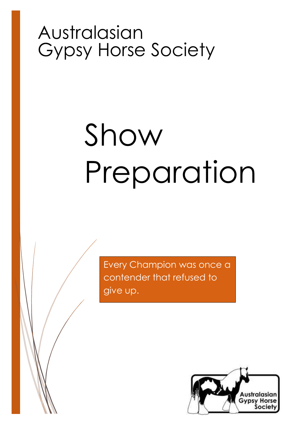## Australasian Gypsy Horse Society

# Show Preparation

Every Champion was once a contender that refused to give up.

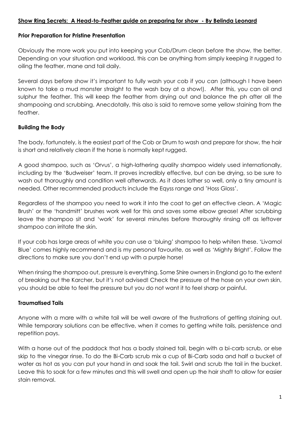#### **Show Ring Secrets: A Head-to-Feather guide on preparing for show - By Belinda Leonard**

#### **Prior Preparation for Pristine Presentation**

Obviously the more work you put into keeping your Cob/Drum clean before the show, the better. Depending on your situation and workload, this can be anything from simply keeping it rugged to oiling the feather, mane and tail daily.

Several days before show it's important to fully wash your cob if you can (although I have been known to take a mud monster straight to the wash bay at a show!). After this, you can oil and sulphur the feather. This will keep the feather from drying out and balance the ph after all the shampooing and scrubbing. Anecdotally, this also is said to remove some yellow staining from the feather.

#### **Building the Body**

The body, fortunately, is the easiest part of the Cob or Drum to wash and prepare for show, the hair is short and relatively clean if the horse is normally kept rugged.

A good shampoo, such as 'Orvus', a high-lathering quality shampoo widely used internationally, including by the 'Budweiser' team. It proves incredibly effective, but can be drying, so be sure to wash out thoroughly and condition well afterwards. As it does lather so well, only a tiny amount is needed. Other recommended products include the Eqyss range and 'Hoss Gloss'.

Regardless of the shampoo you need to work it into the coat to get an effective clean. A 'Magic Brush' or the 'handmitt' brushes work well for this and saves some elbow grease! After scrubbing leave the shampoo sit and 'work' for several minutes before thoroughly rinsing off as leftover shampoo can irritate the skin.

If your cob has large areas of white you can use a 'bluing' shampoo to help whiten these. 'Livamol Blue' comes highly recommend and is my personal favourite, as well as 'Mighty Bright'. Follow the directions to make sure you don't end up with a purple horse!

When rinsing the shampoo out, pressure is everything. Some Shire owners in England go to the extent of breaking out the Karcher, but it's not advised! Check the pressure of the hose on your own skin, you should be able to feel the pressure but you do not want it to feel sharp or painful.

#### **Traumatised Tails**

Anyone with a mare with a white tail will be well aware of the frustrations of getting staining out. While temporary solutions can be effective, when it comes to getting white tails, persistence and repetition pays.

With a horse out of the paddock that has a badly stained tail, begin with a bi-carb scrub, or else skip to the vinegar rinse. To do the Bi-Carb scrub mix a cup of Bi-Carb soda and half a bucket of water as hot as you can put your hand in and soak the tail. Swirl and scrub the tail in the bucket. Leave this to soak for a few minutes and this will swell and open up the hair shaft to allow for easier stain removal.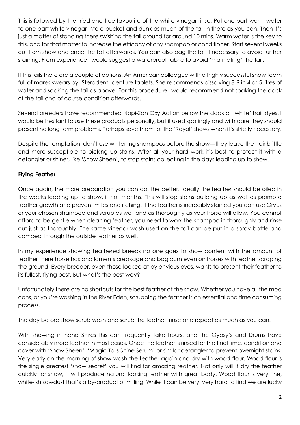This is followed by the tried and true favourite of the white vinegar rinse. Put one part warm water to one part white vinegar into a bucket and dunk as much of the tail in there as you can. Then it's just a matter of standing there swishing the tail around for around 10 mins. Warm water is the key to this, and for that matter to increase the efficacy of any shampoo or conditioner. Start several weeks out from show and braid the tail afterwards. You can also bag the tail if necessary to avoid further staining. From experience I would suggest a waterproof fabric to avoid 'marinating' the tail.

If this fails there are a couple of options. An American colleague with a highly successful show team full of mares swears by 'Steradent' denture tablets. She recommends dissolving 8-9 in 4 or 5 litres of water and soaking the tail as above. For this procedure I would recommend not soaking the dock of the tail and of course condition afterwards.

Several breeders have recommended Napi-San Oxy Action below the dock or 'white' hair dyes. I would be hesitant to use these products personally, but if used sparingly and with care they should present no long term problems. Perhaps save them for the 'Royal' shows when it's strictly necessary.

Despite the temptation, don't use whitening shampoos before the show—they leave the hair brittle and more susceptible to picking up stains. After all your hard work it's best to protect it with a detangler or shiner, like 'Show Sheen', to stop stains collecting in the days leading up to show.

### **Flying Feather**

Once again, the more preparation you can do, the better. Ideally the feather should be oiled in the weeks leading up to show, if not months. This will stop stains building up as well as promote feather growth and prevent mites and itching. If the feather is incredibly stained you can use Orvus or your chosen shampoo and scrub as well and as thoroughly as your horse will allow. You cannot afford to be gentle when cleaning feather, you need to work the shampoo in thoroughly and rinse out just as thoroughly. The same vinegar wash used on the tail can be put in a spray bottle and combed through the outside feather as well.

In my experience showing feathered breeds no one goes to show content with the amount of feather there horse has and laments breakage and bog burn even on horses with feather scraping the ground. Every breeder, even those looked at by envious eyes, wants to present their feather to its fullest, flying best. But what's the best way?

Unfortunately there are no shortcuts for the best feather at the show. Whether you have all the mod cons, or you're washing in the River Eden, scrubbing the feather is an essential and time consuming process.

The day before show scrub wash and scrub the feather, rinse and repeat as much as you can.

With showing in hand Shires this can frequently take hours, and the Gypsy's and Drums have considerably more feather in most cases. Once the feather is rinsed for the final time, condition and cover with 'Show Sheen', 'Magic Tails Shine Serum' or similar detangler to prevent overnight stains. Very early on the morning of show wash the feather again and dry with wood-flour. Wood flour is the single greatest 'show secret' you will find for amazing feather. Not only will it dry the feather quickly for show, it will produce natural looking feather with great body. Wood flour is very fine, white-ish sawdust that's a by-product of milling. While it can be very, very hard to find we are lucky